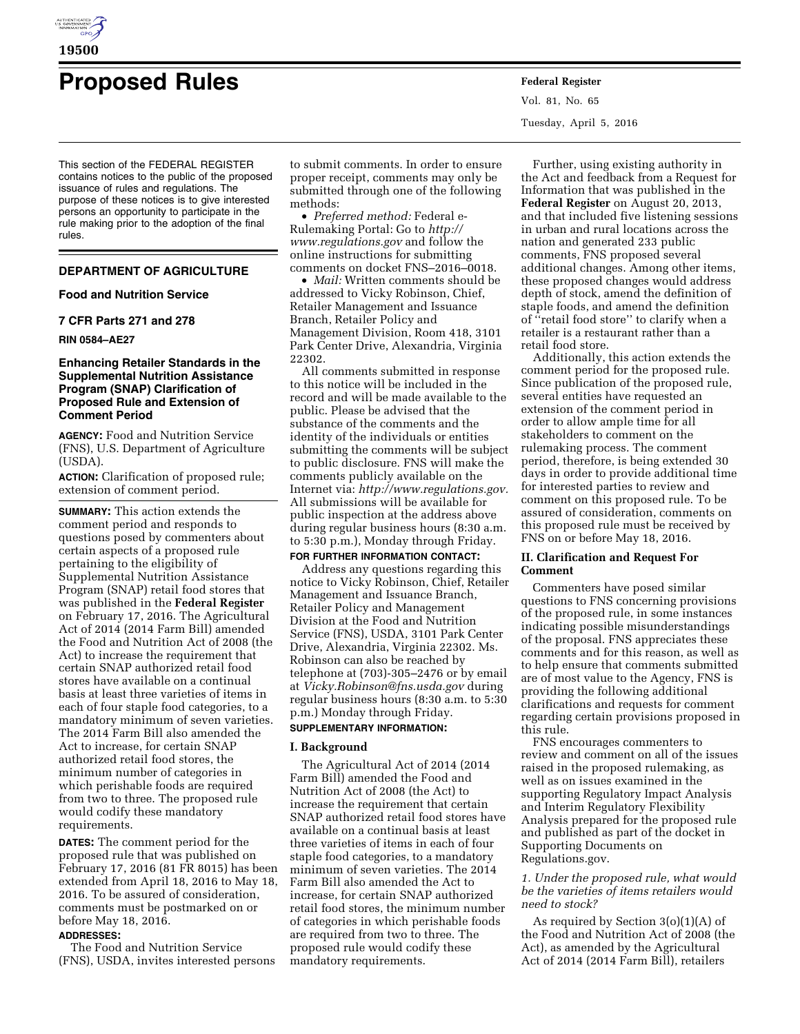

# **Proposed Rules Federal Register**

This section of the FEDERAL REGISTER contains notices to the public of the proposed issuance of rules and regulations. The purpose of these notices is to give interested persons an opportunity to participate in the rule making prior to the adoption of the final rules.

# **DEPARTMENT OF AGRICULTURE**

#### **Food and Nutrition Service**

#### **7 CFR Parts 271 and 278**

**RIN 0584–AE27** 

## **Enhancing Retailer Standards in the Supplemental Nutrition Assistance Program (SNAP) Clarification of Proposed Rule and Extension of Comment Period**

**AGENCY:** Food and Nutrition Service (FNS), U.S. Department of Agriculture (USDA).

**ACTION:** Clarification of proposed rule; extension of comment period.

**SUMMARY:** This action extends the comment period and responds to questions posed by commenters about certain aspects of a proposed rule pertaining to the eligibility of Supplemental Nutrition Assistance Program (SNAP) retail food stores that was published in the **Federal Register**  on February 17, 2016. The Agricultural Act of 2014 (2014 Farm Bill) amended the Food and Nutrition Act of 2008 (the Act) to increase the requirement that certain SNAP authorized retail food stores have available on a continual basis at least three varieties of items in each of four staple food categories, to a mandatory minimum of seven varieties. The 2014 Farm Bill also amended the Act to increase, for certain SNAP authorized retail food stores, the minimum number of categories in which perishable foods are required from two to three. The proposed rule would codify these mandatory requirements.

**DATES:** The comment period for the proposed rule that was published on February 17, 2016 (81 FR 8015) has been extended from April 18, 2016 to May 18, 2016. To be assured of consideration, comments must be postmarked on or before May 18, 2016.

# **ADDRESSES:**

The Food and Nutrition Service (FNS), USDA, invites interested persons

to submit comments. In order to ensure proper receipt, comments may only be submitted through one of the following methods:

• *Preferred method:* Federal e-Rulemaking Portal: Go to *[http://](http://www.regulations.gov) [www.regulations.gov](http://www.regulations.gov)* and follow the online instructions for submitting comments on docket FNS–2016–0018.

• *Mail:* Written comments should be addressed to Vicky Robinson, Chief, Retailer Management and Issuance Branch, Retailer Policy and Management Division, Room 418, 3101 Park Center Drive, Alexandria, Virginia 22302.

All comments submitted in response to this notice will be included in the record and will be made available to the public. Please be advised that the substance of the comments and the identity of the individuals or entities submitting the comments will be subject to public disclosure. FNS will make the comments publicly available on the Internet via: *[http://www.regulations.gov.](http://www.regulations.gov)*  All submissions will be available for public inspection at the address above during regular business hours (8:30 a.m. to 5:30 p.m.), Monday through Friday.

## **FOR FURTHER INFORMATION CONTACT:**

Address any questions regarding this notice to Vicky Robinson, Chief, Retailer Management and Issuance Branch, Retailer Policy and Management Division at the Food and Nutrition Service (FNS), USDA, 3101 Park Center Drive, Alexandria, Virginia 22302. Ms. Robinson can also be reached by telephone at (703)-305–2476 or by email at *[Vicky.Robinson@fns.usda.gov](mailto:Vicky.Robinson@fns.usda.gov)* during regular business hours (8:30 a.m. to 5:30 p.m.) Monday through Friday.

## **SUPPLEMENTARY INFORMATION:**

#### **I. Background**

The Agricultural Act of 2014 (2014 Farm Bill) amended the Food and Nutrition Act of 2008 (the Act) to increase the requirement that certain SNAP authorized retail food stores have available on a continual basis at least three varieties of items in each of four staple food categories, to a mandatory minimum of seven varieties. The 2014 Farm Bill also amended the Act to increase, for certain SNAP authorized retail food stores, the minimum number of categories in which perishable foods are required from two to three. The proposed rule would codify these mandatory requirements.

Vol. 81, No. 65 Tuesday, April 5, 2016

Further, using existing authority in the Act and feedback from a Request for Information that was published in the **Federal Register** on August 20, 2013, and that included five listening sessions in urban and rural locations across the nation and generated 233 public comments, FNS proposed several additional changes. Among other items, these proposed changes would address depth of stock, amend the definition of staple foods, and amend the definition of ''retail food store'' to clarify when a retailer is a restaurant rather than a retail food store.

Additionally, this action extends the comment period for the proposed rule. Since publication of the proposed rule, several entities have requested an extension of the comment period in order to allow ample time for all stakeholders to comment on the rulemaking process. The comment period, therefore, is being extended 30 days in order to provide additional time for interested parties to review and comment on this proposed rule. To be assured of consideration, comments on this proposed rule must be received by FNS on or before May 18, 2016.

#### **II. Clarification and Request For Comment**

Commenters have posed similar questions to FNS concerning provisions of the proposed rule, in some instances indicating possible misunderstandings of the proposal. FNS appreciates these comments and for this reason, as well as to help ensure that comments submitted are of most value to the Agency, FNS is providing the following additional clarifications and requests for comment regarding certain provisions proposed in this rule.

FNS encourages commenters to review and comment on all of the issues raised in the proposed rulemaking, as well as on issues examined in the supporting Regulatory Impact Analysis and Interim Regulatory Flexibility Analysis prepared for the proposed rule and published as part of the docket in Supporting Documents on Regulations.gov.

*1. Under the proposed rule, what would be the varieties of items retailers would need to stock?* 

As required by Section 3(o)(1)(A) of the Food and Nutrition Act of 2008 (the Act), as amended by the Agricultural Act of 2014 (2014 Farm Bill), retailers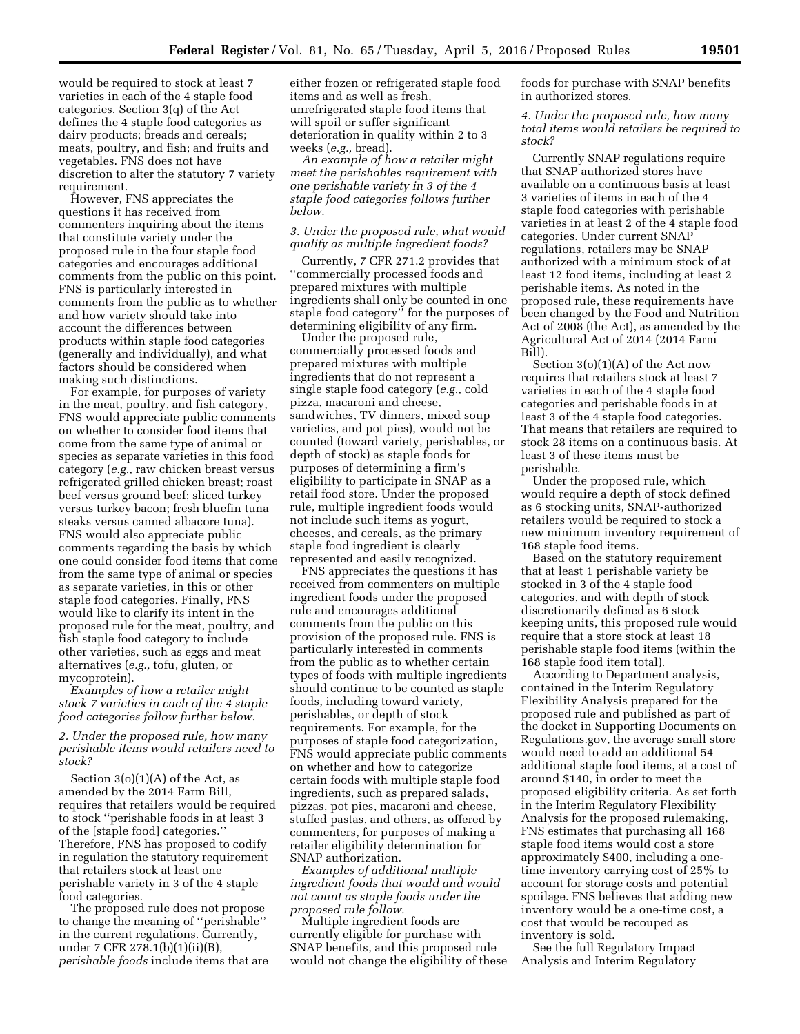would be required to stock at least 7 varieties in each of the 4 staple food categories. Section 3(q) of the Act defines the 4 staple food categories as dairy products; breads and cereals; meats, poultry, and fish; and fruits and vegetables. FNS does not have discretion to alter the statutory 7 variety requirement.

However, FNS appreciates the questions it has received from commenters inquiring about the items that constitute variety under the proposed rule in the four staple food categories and encourages additional comments from the public on this point. FNS is particularly interested in comments from the public as to whether and how variety should take into account the differences between products within staple food categories (generally and individually), and what factors should be considered when making such distinctions.

For example, for purposes of variety in the meat, poultry, and fish category, FNS would appreciate public comments on whether to consider food items that come from the same type of animal or species as separate varieties in this food category (*e.g.,* raw chicken breast versus refrigerated grilled chicken breast; roast beef versus ground beef; sliced turkey versus turkey bacon; fresh bluefin tuna steaks versus canned albacore tuna). FNS would also appreciate public comments regarding the basis by which one could consider food items that come from the same type of animal or species as separate varieties, in this or other staple food categories. Finally, FNS would like to clarify its intent in the proposed rule for the meat, poultry, and fish staple food category to include other varieties, such as eggs and meat alternatives (*e.g.,* tofu, gluten, or mycoprotein).

*Examples of how a retailer might stock 7 varieties in each of the 4 staple food categories follow further below.* 

*2. Under the proposed rule, how many perishable items would retailers need to stock?* 

Section  $3(0)(1)(A)$  of the Act, as amended by the 2014 Farm Bill, requires that retailers would be required to stock ''perishable foods in at least 3 of the [staple food] categories.'' Therefore, FNS has proposed to codify in regulation the statutory requirement that retailers stock at least one perishable variety in 3 of the 4 staple food categories.

The proposed rule does not propose to change the meaning of ''perishable'' in the current regulations. Currently, under 7 CFR 278.1(b)(1)(ii)(B), *perishable foods* include items that are either frozen or refrigerated staple food items and as well as fresh, unrefrigerated staple food items that will spoil or suffer significant deterioration in quality within 2 to 3 weeks (*e.g.,* bread).

*An example of how a retailer might meet the perishables requirement with one perishable variety in 3 of the 4 staple food categories follows further below.* 

#### *3. Under the proposed rule, what would qualify as multiple ingredient foods?*

Currently, 7 CFR 271.2 provides that ''commercially processed foods and prepared mixtures with multiple ingredients shall only be counted in one staple food category'' for the purposes of determining eligibility of any firm.

Under the proposed rule, commercially processed foods and prepared mixtures with multiple ingredients that do not represent a single staple food category (*e.g.,* cold pizza, macaroni and cheese, sandwiches, TV dinners, mixed soup varieties, and pot pies), would not be counted (toward variety, perishables, or depth of stock) as staple foods for purposes of determining a firm's eligibility to participate in SNAP as a retail food store. Under the proposed rule, multiple ingredient foods would not include such items as yogurt, cheeses, and cereals, as the primary staple food ingredient is clearly represented and easily recognized.

FNS appreciates the questions it has received from commenters on multiple ingredient foods under the proposed rule and encourages additional comments from the public on this provision of the proposed rule. FNS is particularly interested in comments from the public as to whether certain types of foods with multiple ingredients should continue to be counted as staple foods, including toward variety, perishables, or depth of stock requirements. For example, for the purposes of staple food categorization, FNS would appreciate public comments on whether and how to categorize certain foods with multiple staple food ingredients, such as prepared salads, pizzas, pot pies, macaroni and cheese, stuffed pastas, and others, as offered by commenters, for purposes of making a retailer eligibility determination for SNAP authorization.

*Examples of additional multiple ingredient foods that would and would not count as staple foods under the proposed rule follow.* 

Multiple ingredient foods are currently eligible for purchase with SNAP benefits, and this proposed rule would not change the eligibility of these foods for purchase with SNAP benefits in authorized stores.

*4. Under the proposed rule, how many total items would retailers be required to stock?* 

Currently SNAP regulations require that SNAP authorized stores have available on a continuous basis at least 3 varieties of items in each of the 4 staple food categories with perishable varieties in at least 2 of the 4 staple food categories. Under current SNAP regulations, retailers may be SNAP authorized with a minimum stock of at least 12 food items, including at least 2 perishable items. As noted in the proposed rule, these requirements have been changed by the Food and Nutrition Act of 2008 (the Act), as amended by the Agricultural Act of 2014 (2014 Farm Bill).

Section 3(o)(1)(A) of the Act now requires that retailers stock at least 7 varieties in each of the 4 staple food categories and perishable foods in at least 3 of the 4 staple food categories. That means that retailers are required to stock 28 items on a continuous basis. At least 3 of these items must be perishable.

Under the proposed rule, which would require a depth of stock defined as 6 stocking units, SNAP-authorized retailers would be required to stock a new minimum inventory requirement of 168 staple food items.

Based on the statutory requirement that at least 1 perishable variety be stocked in 3 of the 4 staple food categories, and with depth of stock discretionarily defined as 6 stock keeping units, this proposed rule would require that a store stock at least 18 perishable staple food items (within the 168 staple food item total).

According to Department analysis, contained in the Interim Regulatory Flexibility Analysis prepared for the proposed rule and published as part of the docket in Supporting Documents on Regulations.gov, the average small store would need to add an additional 54 additional staple food items, at a cost of around \$140, in order to meet the proposed eligibility criteria. As set forth in the Interim Regulatory Flexibility Analysis for the proposed rulemaking, FNS estimates that purchasing all 168 staple food items would cost a store approximately \$400, including a onetime inventory carrying cost of 25% to account for storage costs and potential spoilage. FNS believes that adding new inventory would be a one-time cost, a cost that would be recouped as inventory is sold.

See the full Regulatory Impact Analysis and Interim Regulatory